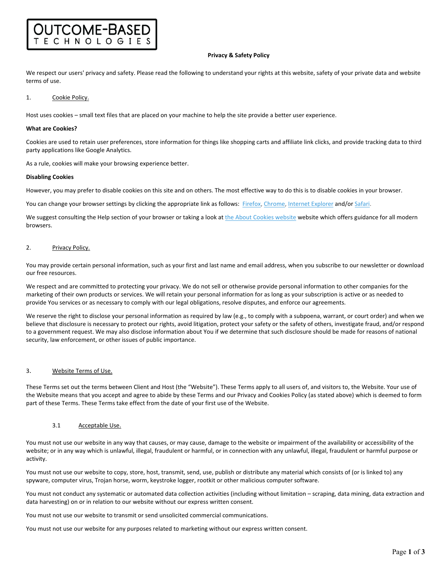### **Privacy & Safety Policy**

We respect our users' privacy and safety. Please read the following to understand your rights at this website, safety of your private data and website terms of use.

### 1. Cookie Policy.

Host uses cookies – small text files that are placed on your machine to help the site provide a better user experience.

#### **What are Cookies?**

Cookies are used to retain user preferences, store information for things like shopping carts and affiliate link clicks, and provide tracking data to third party applications like Google Analytics.

As a rule, cookies will make your browsing experience better.

**TCOME-BASED** ECHNOLOGIE

#### **Disabling Cookies**

However, you may prefer to disable cookies on this site and on others. The most effective way to do this is to disable cookies in your browser.

You can change your browser settings by clicking the appropriate link as follows: Firefox, Chrome, Internet Explorer and/or Safari.

We suggest consulting the Help section of your browser or taking a look at the About Cookies website website which offers guidance for all modern browsers.

## 2. Privacy Policy.

You may provide certain personal information, such as your first and last name and email address, when you subscribe to our newsletter or download our free resources.

We respect and are committed to protecting your privacy. We do not sell or otherwise provide personal information to other companies for the marketing of their own products or services. We will retain your personal information for as long as your subscription is active or as needed to provide You services or as necessary to comply with our legal obligations, resolve disputes, and enforce our agreements.

We reserve the right to disclose your personal information as required by law (e.g., to comply with a subpoena, warrant, or court order) and when we believe that disclosure is necessary to protect our rights, avoid litigation, protect your safety or the safety of others, investigate fraud, and/or respond to a government request. We may also disclose information about You if we determine that such disclosure should be made for reasons of national security, law enforcement, or other issues of public importance.

# 3. Website Terms of Use.

These Terms set out the terms between Client and Host (the "Website"). These Terms apply to all users of, and visitors to, the Website. Your use of the Website means that you accept and agree to abide by these Terms and our Privacy and Cookies Policy (as stated above) which is deemed to form part of these Terms. These Terms take effect from the date of your first use of the Website.

### 3.1 Acceptable Use.

You must not use our website in any way that causes, or may cause, damage to the website or impairment of the availability or accessibility of the website; or in any way which is unlawful, illegal, fraudulent or harmful, or in connection with any unlawful, illegal, fraudulent or harmful purpose or activity.

You must not use our website to copy, store, host, transmit, send, use, publish or distribute any material which consists of (or is linked to) any spyware, computer virus, Trojan horse, worm, keystroke logger, rootkit or other malicious computer software.

You must not conduct any systematic or automated data collection activities (including without limitation – scraping, data mining, data extraction and data harvesting) on or in relation to our website without our express written consent.

You must not use our website to transmit or send unsolicited commercial communications.

You must not use our website for any purposes related to marketing without our express written consent.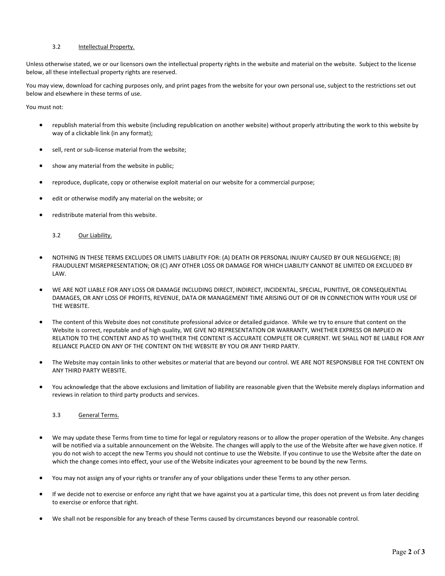# 3.2 Intellectual Property.

Unless otherwise stated, we or our licensors own the intellectual property rights in the website and material on the website. Subject to the license below, all these intellectual property rights are reserved.

You may view, download for caching purposes only, and print pages from the website for your own personal use, subject to the restrictions set out below and elsewhere in these terms of use.

You must not:

- republish material from this website (including republication on another website) without properly attributing the work to this website by way of a clickable link (in any format);
- sell, rent or sub‐license material from the website;
- show any material from the website in public;
- reproduce, duplicate, copy or otherwise exploit material on our website for a commercial purpose;
- edit or otherwise modify any material on the website; or
- redistribute material from this website.

# 3.2 Our Liability.

- NOTHING IN THESE TERMS EXCLUDES OR LIMITS LIABILITY FOR: (A) DEATH OR PERSONAL INJURY CAUSED BY OUR NEGLIGENCE; (B) FRAUDULENT MISREPRESENTATION; OR (C) ANY OTHER LOSS OR DAMAGE FOR WHICH LIABILITY CANNOT BE LIMITED OR EXCLUDED BY LAW.
- WE ARE NOT LIABLE FOR ANY LOSS OR DAMAGE INCLUDING DIRECT, INDIRECT, INCIDENTAL, SPECIAL, PUNITIVE, OR CONSEQUENTIAL DAMAGES, OR ANY LOSS OF PROFITS, REVENUE, DATA OR MANAGEMENT TIME ARISING OUT OF OR IN CONNECTION WITH YOUR USE OF THE WEBSITE.
- The content of this Website does not constitute professional advice or detailed guidance. While we try to ensure that content on the Website is correct, reputable and of high quality, WE GIVE NO REPRESENTATION OR WARRANTY, WHETHER EXPRESS OR IMPLIED IN RELATION TO THE CONTENT AND AS TO WHETHER THE CONTENT IS ACCURATE COMPLETE OR CURRENT. WE SHALL NOT BE LIABLE FOR ANY RELIANCE PLACED ON ANY OF THE CONTENT ON THE WEBSITE BY YOU OR ANY THIRD PARTY.
- The Website may contain links to other websites or material that are beyond our control. WE ARE NOT RESPONSIBLE FOR THE CONTENT ON ANY THIRD PARTY WEBSITE.
- You acknowledge that the above exclusions and limitation of liability are reasonable given that the Website merely displays information and reviews in relation to third party products and services.

## 3.3 General Terms.

- We may update these Terms from time to time for legal or regulatory reasons or to allow the proper operation of the Website. Any changes will be notified via a suitable announcement on the Website. The changes will apply to the use of the Website after we have given notice. If you do not wish to accept the new Terms you should not continue to use the Website. If you continue to use the Website after the date on which the change comes into effect, your use of the Website indicates your agreement to be bound by the new Terms.
- You may not assign any of your rights or transfer any of your obligations under these Terms to any other person.
- If we decide not to exercise or enforce any right that we have against you at a particular time, this does not prevent us from later deciding to exercise or enforce that right.
- We shall not be responsible for any breach of these Terms caused by circumstances beyond our reasonable control.